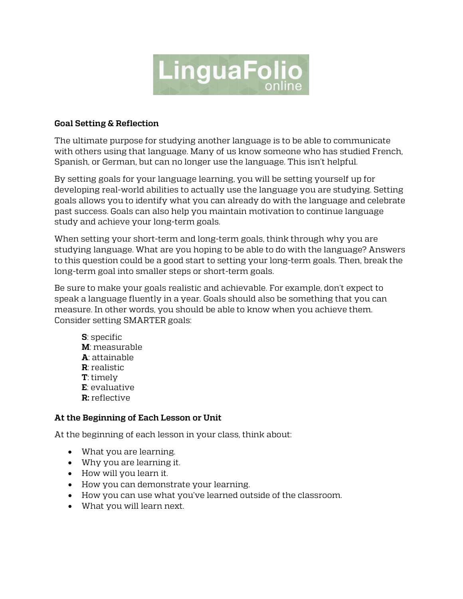

## **Goal Setting & Reflection**

The ultimate purpose for studying another language is to be able to communicate with others using that language. Many of us know someone who has studied French, Spanish, or German, but can no longer use the language. This isn't helpful.

By setting goals for your language learning, you will be setting yourself up for developing real-world abilities to actually use the language you are studying. Setting goals allows you to identify what you can already do with the language and celebrate past success. Goals can also help you maintain motivation to continue language study and achieve your long-term goals.

When setting your short-term and long-term goals, think through why you are studying language. What are you hoping to be able to do with the language? Answers to this question could be a good start to setting your long-term goals. Then, break the long-term goal into smaller steps or short-term goals.

Be sure to make your goals realistic and achievable. For example, don't expect to speak a language fluently in a year. Goals should also be something that you can measure. In other words, you should be able to know when you achieve them. Consider setting SMARTER goals:

**S**: specific **M**: measurable **A**: attainable **R**: realistic **T**: timely **E**: evaluative **R:** reflective

## **At the Beginning of Each Lesson or Unit**

At the beginning of each lesson in your class, think about:

- What you are learning.
- Why you are learning it.
- How will you learn it.
- How you can demonstrate your learning.
- How you can use what you've learned outside of the classroom.
- What you will learn next.